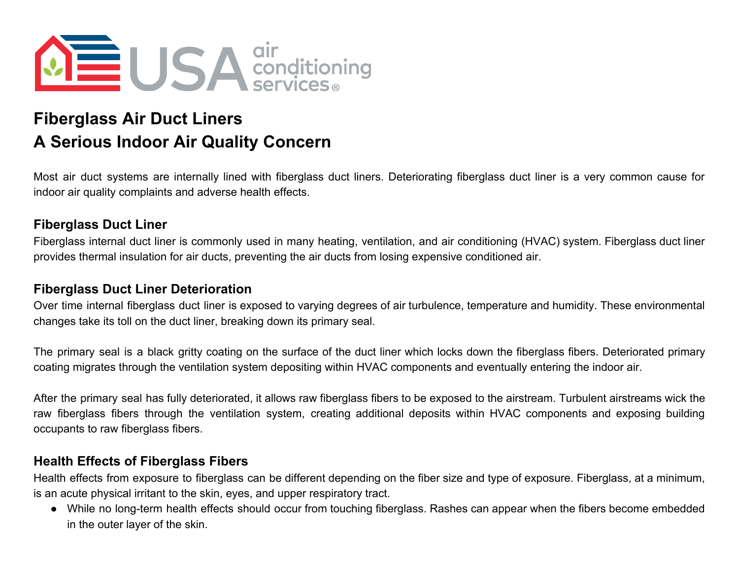

# **Fiberglass Air Duct Liners A Serious Indoor Air Quality Concern**

Most air duct systems are internally lined with fiberglass duct liners. Deteriorating fiberglass duct liner is a very common cause for indoor air quality complaints and adverse health effects.

## **Fiberglass Duct Liner**

Fiberglass internal duct liner is commonly used in many heating, ventilation, and air conditioning (HVAC) system. Fiberglass duct liner provides thermal insulation for air ducts, preventing the air ducts from losing expensive conditioned air.

#### **Fiberglass Duct Liner Deterioration**

Over time internal fiberglass duct liner is exposed to varying degrees of air turbulence, temperature and humidity. These environmental changes take its toll on the duct liner, breaking down its primary seal.

The primary seal is a black gritty coating on the surface of the duct liner which locks down the fiberglass fibers. Deteriorated primary coating migrates through the ventilation system depositing within HVAC components and eventually entering the indoor air.

After the primary seal has fully deteriorated, it allows raw fiberglass fibers to be exposed to the airstream. Turbulent airstreams wick the raw fiberglass fibers through the ventilation system, creating additional deposits within HVAC components and exposing building occupants to raw fiberglass fibers.

#### **Health Effects of Fiberglass Fibers**

Health effects from exposure to fiberglass can be different depending on the fiber size and type of exposure. Fiberglass, at a minimum, is an acute physical irritant to the skin, eyes, and upper respiratory tract.

● While no long-term health effects should occur from touching fiberglass. Rashes can appear when the fibers become embedded in the outer layer of the skin.